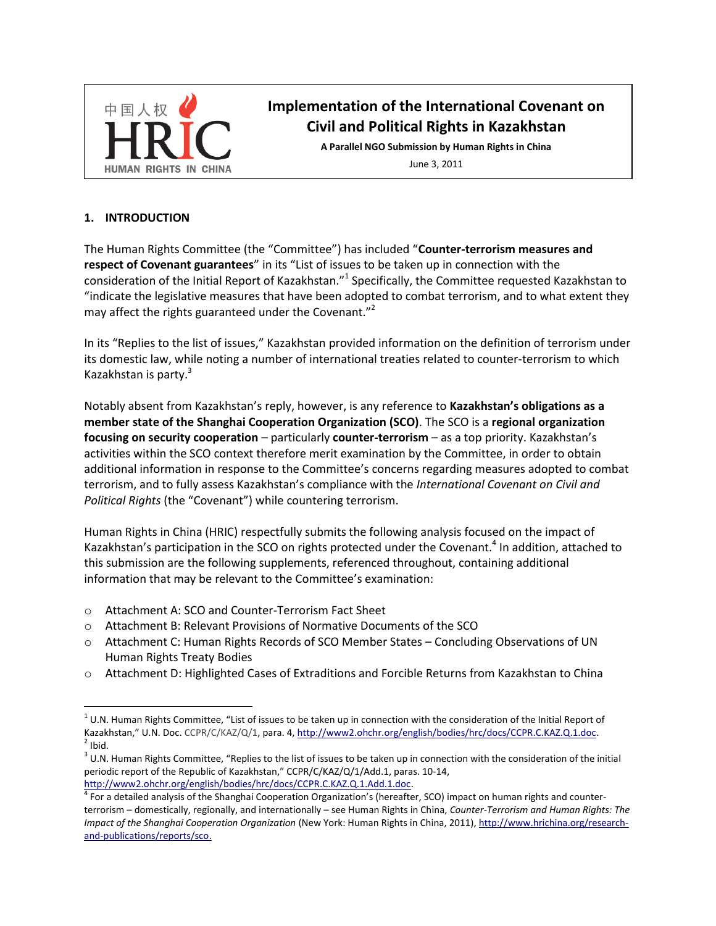

# **Implementation of the International Covenant on Civil and Political Rights in Kazakhstan**

**A Parallel NGO Submission by Human Rights in China**

<span id="page-0-1"></span><span id="page-0-0"></span>June 3, 2011

#### **1. INTRODUCTION**

 $\overline{a}$ 

The Human Rights Committee (the "Committee") has included "**Counter-terrorism measures and respect of Covenant guarantees**" in its "List of issues to be taken up in connection with the consideration of the Initial Report of Kazakhstan."<sup>1</sup> Specifically, the Committee requested Kazakhstan to "indicate the legislative measures that have been adopted to combat terrorism, and to what extent they may affect the rights guaranteed under the Covenant."<sup>2</sup>

In its "Replies to the list of issues," Kazakhstan provided information on the definition of terrorism under its domestic law, while noting a number of international treaties related to counter-terrorism to which Kazakhstan is party.<sup>3</sup>

Notably absent from Kazakhstan's reply, however, is any reference to **Kazakhstan's obligations as a member state of the Shanghai Cooperation Organization (SCO)**. The SCO is a **regional organization focusing on security cooperation** – particularly **counter-terrorism** – as a top priority. Kazakhstan's activities within the SCO context therefore merit examination by the Committee, in order to obtain additional information in response to the Committee's concerns regarding measures adopted to combat terrorism, and to fully assess Kazakhstan's compliance with the *International Covenant on Civil and Political Rights* (the "Covenant") while countering terrorism.

Human Rights in China (HRIC) respectfully submits the following analysis focused on the impact of Kazakhstan's participation in the SCO on rights protected under the Covenant.<sup>4</sup> In addition, attached to this submission are the following supplements, referenced throughout, containing additional information that may be relevant to the Committee's examination:

- o Attachment A: SCO and Counter-Terrorism Fact Sheet
- o Attachment B: Relevant Provisions of Normative Documents of the SCO
- o Attachment C: Human Rights Records of SCO Member States Concluding Observations of UN Human Rights Treaty Bodies
- o Attachment D: Highlighted Cases of Extraditions and Forcible Returns from Kazakhstan to China

 $^1$  U.N. Human Rights Committee, "List of issues to be taken up in connection with the consideration of the Initial Report of Kazakhstan," U.N. Doc. CCPR/C/KAZ/Q/1, para. 4[, http://www2.ohchr.org/english/bodies/hrc/docs/CCPR.C.KAZ.Q.1.doc.](http://www2.ohchr.org/english/bodies/hrc/docs/CCPR.C.KAZ.Q.1.doc)  $<sup>2</sup>$  Ibid.</sup>

 $3$  U.N. Human Rights Committee, "Replies to the list of issues to be taken up in connection with the consideration of the initial periodic report of the Republic of Kazakhstan," CCPR/C/KAZ/Q/1/Add.1, paras. 10-14, [http://www2.ohchr.org/english/bodies/hrc/docs/CCPR.C.KAZ.Q.1.Add.1.doc.](http://www2.ohchr.org/english/bodies/hrc/docs/CCPR.C.KAZ.Q.1.Add.1.doc) 

<sup>&</sup>lt;sup>4</sup> For a detailed analysis of the Shanghai Cooperation Organization's (hereafter, SCO) impact on human rights and counterterrorism – domestically, regionally, and internationally – see Human Rights in China, *Counter-Terrorism and Human Rights: The Impact of the Shanghai Cooperation Organization* (New York: Human Rights in China, 2011)[, http://www.hrichina.org/research](http://www.hrichina.org/research-and-publications/reports/sco)[and-publications/reports/sco.](http://www.hrichina.org/research-and-publications/reports/sco)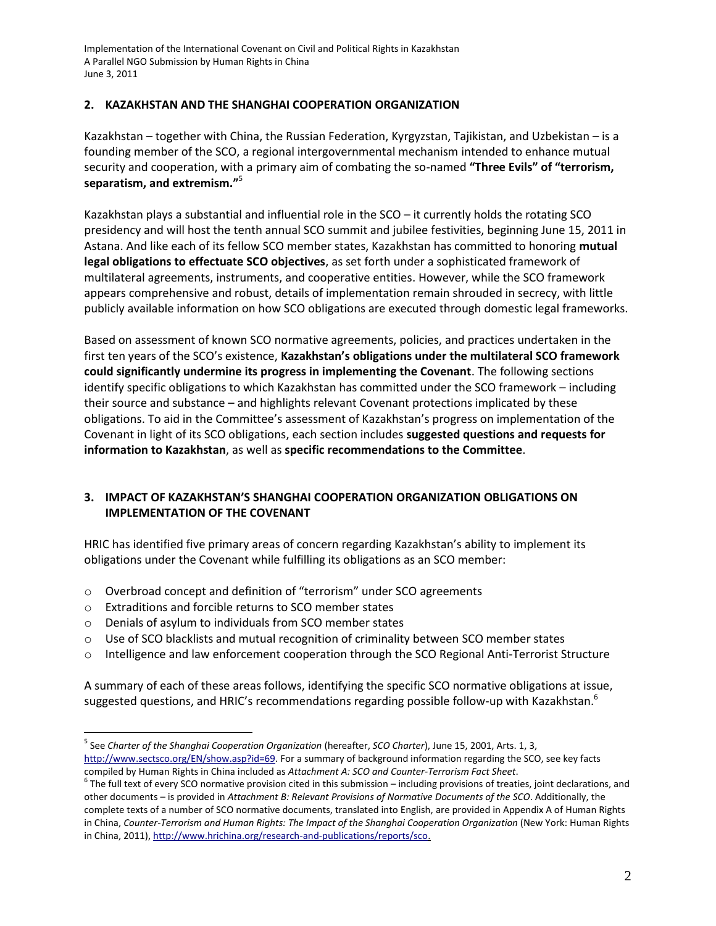## **2. KAZAKHSTAN AND THE SHANGHAI COOPERATION ORGANIZATION**

Kazakhstan – together with China, the Russian Federation, Kyrgyzstan, Tajikistan, and Uzbekistan – is a founding member of the SCO, a regional intergovernmental mechanism intended to enhance mutual security and cooperation, with a primary aim of combating the so-named **"Three Evils" of "terrorism, separatism, and extremism."**<sup>5</sup>

<span id="page-1-0"></span>Kazakhstan plays a substantial and influential role in the SCO – it currently holds the rotating SCO presidency and will host the tenth annual SCO summit and jubilee festivities, beginning June 15, 2011 in Astana. And like each of its fellow SCO member states, Kazakhstan has committed to honoring **mutual legal obligations to effectuate SCO objectives**, as set forth under a sophisticated framework of multilateral agreements, instruments, and cooperative entities. However, while the SCO framework appears comprehensive and robust, details of implementation remain shrouded in secrecy, with little publicly available information on how SCO obligations are executed through domestic legal frameworks.

Based on assessment of known SCO normative agreements, policies, and practices undertaken in the first ten years of the SCO's existence, **Kazakhstan's obligations under the multilateral SCO framework could significantly undermine its progress in implementing the Covenant**. The following sections identify specific obligations to which Kazakhstan has committed under the SCO framework – including their source and substance – and highlights relevant Covenant protections implicated by these obligations. To aid in the Committee's assessment of Kazakhstan's progress on implementation of the Covenant in light of its SCO obligations, each section includes **suggested questions and requests for information to Kazakhstan**, as well as **specific recommendations to the Committee**.

## **3. IMPACT OF KAZAKHSTAN'S SHANGHAI COOPERATION ORGANIZATION OBLIGATIONS ON IMPLEMENTATION OF THE COVENANT**

HRIC has identified five primary areas of concern regarding Kazakhstan's ability to implement its obligations under the Covenant while fulfilling its obligations as an SCO member:

- o Overbroad concept and definition of "terrorism" under SCO agreements
- o Extraditions and forcible returns to SCO member states

 $\overline{a}$ 

- o Denials of asylum to individuals from SCO member states
- $\circ$  Use of SCO blacklists and mutual recognition of criminality between SCO member states
- o Intelligence and law enforcement cooperation through the SCO Regional Anti-Terrorist Structure

A summary of each of these areas follows, identifying the specific SCO normative obligations at issue, suggested questions, and HRIC's recommendations regarding possible follow-up with Kazakhstan.<sup>6</sup>

<sup>&</sup>lt;sup>5</sup> See *Charter of the Shanghai Cooperation Organization (hereafter, SCO Charter), June 15, 2001, Arts. 1, 3,* [http://www.sectsco.org/EN/show.asp?id=69.](http://www.sectsco.org/EN/show.asp?id=69) For a summary of background information regarding the SCO, see key facts compiled by Human Rights in China included as *Attachment A: SCO and Counter-Terrorism Fact Sheet*.

 $^6$  The full text of every SCO normative provision cited in this submission – including provisions of treaties, joint declarations, and other documents – is provided in *Attachment B: Relevant Provisions of Normative Documents of the SCO*. Additionally, the complete texts of a number of SCO normative documents, translated into English, are provided in Appendix A of Human Rights in China, *Counter-Terrorism and Human Rights: The Impact of the Shanghai Cooperation Organization* (New York: Human Rights in China, 2011), [http://www.hrichina.org/research-and-publications/reports/sco.](http://www.hrichina.org/research-and-publications/reports/sco)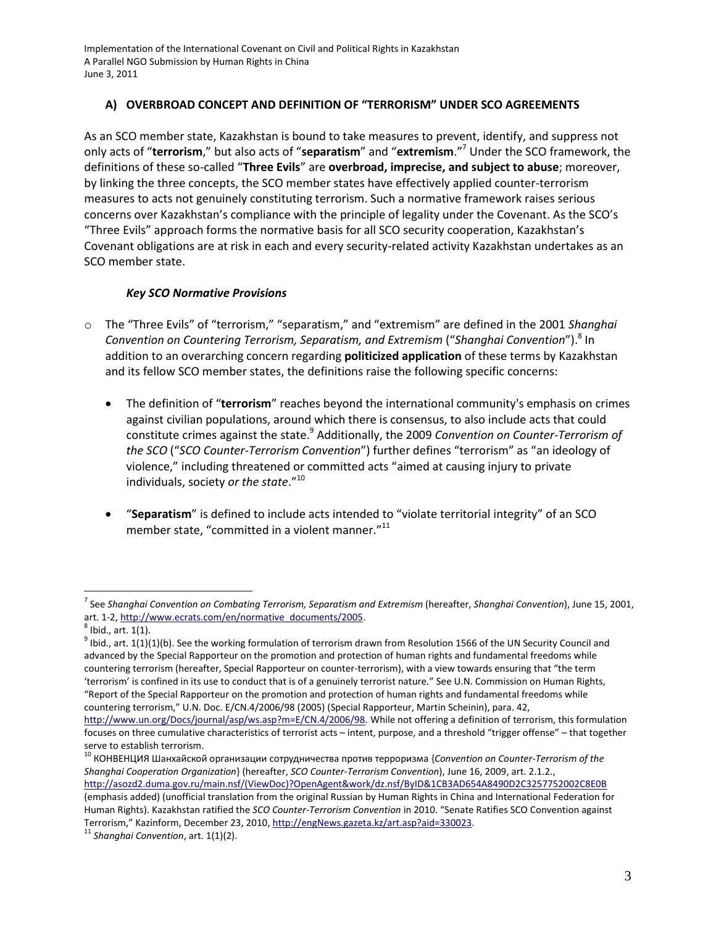## <span id="page-2-2"></span>**A) OVERBROAD CONCEPT AND DEFINITION OF "TERRORISM" UNDER SCO AGREEMENTS**

As an SCO member state, Kazakhstan is bound to take measures to prevent, identify, and suppress not only acts of "**terrorism**," but also acts of "**separatism**" and "**extremism**."<sup>7</sup> Under the SCO framework, the definitions of these so-called "**Three Evils**" are **overbroad, imprecise, and subject to abuse**; moreover, by linking the three concepts, the SCO member states have effectively applied counter-terrorism measures to acts not genuinely constituting terrorism. Such a normative framework raises serious concerns over Kazakhstan's compliance with the principle of legality under the Covenant. As the SCO's "Three Evils" approach forms the normative basis for all SCO security cooperation, Kazakhstan's Covenant obligations are at risk in each and every security-related activity Kazakhstan undertakes as an SCO member state.

## <span id="page-2-1"></span>*Key SCO Normative Provisions*

- o The "Three Evils" of "terrorism," "separatism," and "extremism" are defined in the 2001 *Shanghai*  Convention on Countering Terrorism, Separatism, and Extremism ("Shanghai Convention").<sup>8</sup> In addition to an overarching concern regarding **politicized application** of these terms by Kazakhstan and its fellow SCO member states, the definitions raise the following specific concerns:
	- The definition of "**terrorism**" reaches beyond the international community's emphasis on crimes against civilian populations, around which there is consensus, to also include acts that could constitute crimes against the state.<sup>9</sup> Additionally, the 2009 *Convention on Counter-Terrorism of the SCO* ("*SCO Counter-Terrorism Convention*") further defines "terrorism" as "an ideology of violence," including threatened or committed acts "aimed at causing injury to private individuals, society *or the state*."<sup>10</sup>
	- "**Separatism**" is defined to include acts intended to "violate territorial integrity" of an SCO member state, "committed in a violent manner."<sup>11</sup>

<span id="page-2-0"></span> $\overline{a}$ 

<sup>10</sup> КОНВЕНЦИЯ Шанхайской организации сотрудничества против терроризма {Convention on Counter-Terrorism of the *Shanghai Cooperation Organization*} (hereafter, *SCO Counter-Terrorism Convention*), June 16, 2009, art. 2.1.2., [http://asozd2.duma.gov.ru/main.nsf/\(ViewDoc\)?OpenAgent&work/dz.nsf/ByID&1CB3AD654A8490D2C3257752002C8E0B](http://asozd2.duma.gov.ru/main.nsf/%28ViewDoc%29?OpenAgent&work/dz.nsf/ByID&1CB3AD654A8490D2C3257752002C8E0B) (emphasis added) (unofficial translation from the original Russian by Human Rights in China and International Federation for Human Rights). Kazakhstan ratified the *SCO Counter-Terrorism Convention* in 2010. "Senate Ratifies SCO Convention against Terrorism," Kazinform, December 23, 2010[, http://engNews.gazeta.kz/art.asp?aid=330023.](http://engnews.gazeta.kz/art.asp?aid=330023)

<sup>&</sup>lt;sup>7</sup> See Shanghai Convention on Combating Terrorism, Separatism and Extremism (hereafter, Shanghai Convention), June 15, 2001, art. 1-2, [http://www.ecrats.com/en/normative\\_documents/2005.](http://www.ecrats.com/en/normative_documents/2005) 

 $<sup>8</sup>$  Ibid., art.  $1(1)$ .</sup>

 $^9$  Ibid., art. 1(1)(1)(b). See the working formulation of terrorism drawn from Resolution 1566 of the UN Security Council and advanced by the Special Rapporteur on the promotion and protection of human rights and fundamental freedoms while countering terrorism (hereafter, Special Rapporteur on counter-terrorism), with a view towards ensuring that "the term 'terrorism' is confined in its use to conduct that is of a genuinely terrorist nature." See U.N. Commission on Human Rights, "Report of the Special Rapporteur on the promotion and protection of human rights and fundamental freedoms while countering terrorism," U.N. Doc. E/CN.4/2006/98 (2005) (Special Rapporteur, Martin Scheinin), para. 42,

[http://www.un.org/Docs/journal/asp/ws.asp?m=E/CN.4/2006/98.](http://www.un.org/Docs/journal/asp/ws.asp?m=E/CN.4/2006/98) While not offering a definition of terrorism, this formulation focuses on three cumulative characteristics of terrorist acts – intent, purpose, and a threshold "trigger offense" – that together serve to establish terrorism.

<sup>11</sup> *Shanghai Convention*, art. 1(1)(2).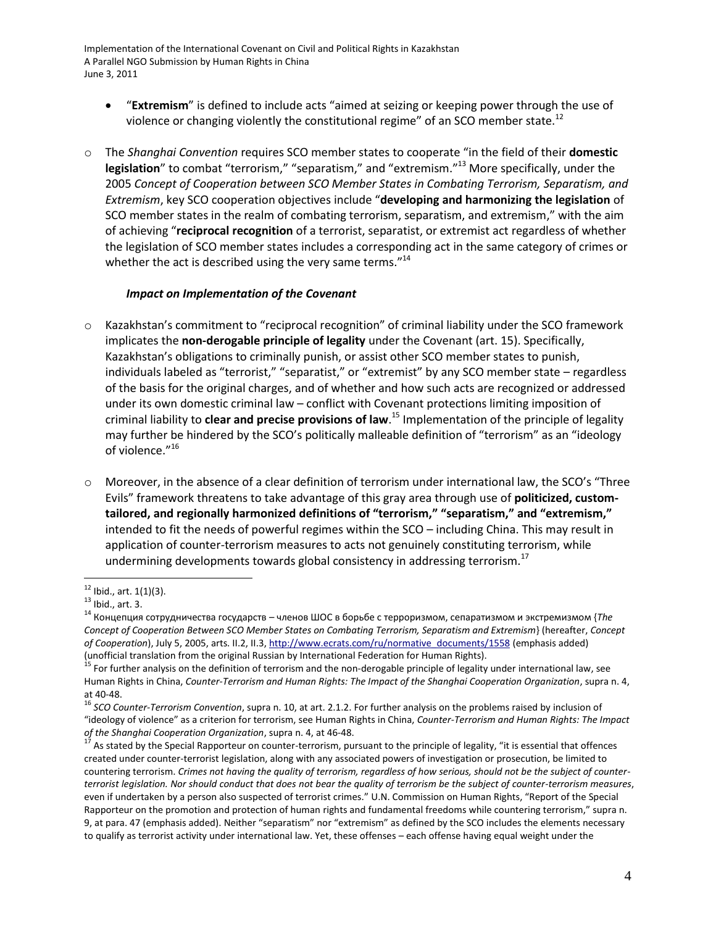- "**Extremism**" is defined to include acts "aimed at seizing or keeping power through the use of violence or changing violently the constitutional regime" of an SCO member state.<sup>12</sup>
- o The *Shanghai Convention* requires SCO member states to cooperate "in the field of their **domestic legislation**" to combat "terrorism," "separatism," and "extremism."<sup>13</sup> More specifically, under the 2005 *Concept of Cooperation between SCO Member States in Combating Terrorism, Separatism, and Extremism*, key SCO cooperation objectives include "**developing and harmonizing the legislation** of SCO member states in the realm of combating terrorism, separatism, and extremism," with the aim of achieving "**reciprocal recognition** of a terrorist, separatist, or extremist act regardless of whether the legislation of SCO member states includes a corresponding act in the same category of crimes or whether the act is described using the very same terms."<sup>14</sup>

#### <span id="page-3-0"></span>*Impact on Implementation of the Covenant*

- o Kazakhstan's commitment to "reciprocal recognition" of criminal liability under the SCO framework implicates the **non-derogable principle of legality** under the Covenant (art. 15). Specifically, Kazakhstan's obligations to criminally punish, or assist other SCO member states to punish, individuals labeled as "terrorist," "separatist," or "extremist" by any SCO member state – regardless of the basis for the original charges, and of whether and how such acts are recognized or addressed under its own domestic criminal law – conflict with Covenant protections limiting imposition of criminal liability to **clear and precise provisions of law**. <sup>15</sup> Implementation of the principle of legality may further be hindered by the SCO's politically malleable definition of "terrorism" as an "ideology of violence."<sup>16</sup>
- o Moreover, in the absence of a clear definition of terrorism under international law, the SCO's "Three Evils" framework threatens to take advantage of this gray area through use of **politicized, customtailored, and regionally harmonized definitions of "terrorism," "separatism," and "extremism,"** intended to fit the needs of powerful regimes within the SCO – including China. This may result in application of counter-terrorism measures to acts not genuinely constituting terrorism, while undermining developments towards global consistency in addressing terrorism.<sup>17</sup>

 $12$  Ibid., art. 1(1)(3).

 $^{13}$  Ibid., art. 3.

 $14$  Концепция сотрудничества государств – членов ШОС в борьбе с терроризмом, сепаратизмом и экстремизмом {The *Concept of Cooperation Between SCO Member States on Combating Terrorism, Separatism and Extremism*} (hereafter, *Concept of Cooperation*), July 5, 2005, arts. II.2, II.3[, http://www.ecrats.com/ru/normative\\_documents/1558](http://www.ecrats.com/ru/normative_documents/1558) (emphasis added) (unofficial translation from the original Russian by International Federation for Human Rights).

<sup>&</sup>lt;sup>5</sup> For further analysis on the definition of terrorism and the non-derogable principle of legality under international law, see Human Rights in China, *Counter-Terrorism and Human Rights: The Impact of the Shanghai Cooperation Organization*, supra n. [4,](#page-0-0)  at 40-48.

<sup>16</sup> *SCO Counter-Terrorism Convention*, supra n. [10,](#page-2-0) at art. 2.1.2. For further analysis on the problems raised by inclusion of "ideology of violence" as a criterion for terrorism, see Human Rights in China, *Counter-Terrorism and Human Rights: The Impact of the Shanghai Cooperation Organization*, supra n. [4,](#page-0-0) at 46-48.

As stated by the Special Rapporteur on counter-terrorism, pursuant to the principle of legality, "it is essential that offences created under counter-terrorist legislation, along with any associated powers of investigation or prosecution, be limited to countering terrorism. *Crimes not having the quality of terrorism, regardless of how serious, should not be the subject of counterterrorist legislation. Nor should conduct that does not bear the quality of terrorism be the subject of counter-terrorism measures*, even if undertaken by a person also suspected of terrorist crimes." U.N. Commission on Human Rights, "Report of the Special Rapporteur on the promotion and protection of human rights and fundamental freedoms while countering terrorism," supra n. [9,](#page-2-1) at para. 47 (emphasis added). Neither "separatism" nor "extremism" as defined by the SCO includes the elements necessary to qualify as terrorist activity under international law. Yet, these offenses – each offense having equal weight under the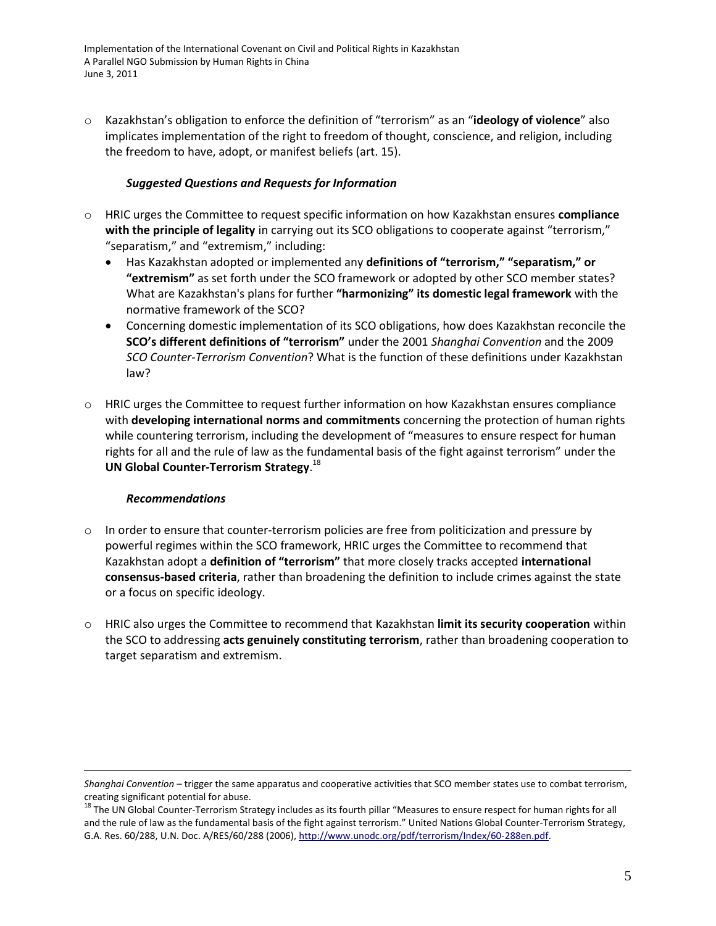o Kazakhstan's obligation to enforce the definition of "terrorism" as an "**ideology of violence**" also implicates implementation of the right to freedom of thought, conscience, and religion, including the freedom to have, adopt, or manifest beliefs (art. 15).

## *Suggested Questions and Requests for Information*

- o HRIC urges the Committee to request specific information on how Kazakhstan ensures **compliance with the principle of legality** in carrying out its SCO obligations to cooperate against "terrorism," "separatism," and "extremism," including:
	- Has Kazakhstan adopted or implemented any **definitions of "terrorism," "separatism," or "extremism"** as set forth under the SCO framework or adopted by other SCO member states? What are Kazakhstan's plans for further **"harmonizing" its domestic legal framework** with the normative framework of the SCO?
	- Concerning domestic implementation of its SCO obligations, how does Kazakhstan reconcile the **SCO's different definitions of "terrorism"** under the 2001 *Shanghai Convention* and the 2009 *SCO Counter-Terrorism Convention*? What is the function of these definitions under Kazakhstan law?
- o HRIC urges the Committee to request further information on how Kazakhstan ensures compliance with **developing international norms and commitments** concerning the protection of human rights while countering terrorism, including the development of "measures to ensure respect for human rights for all and the rule of law as the fundamental basis of the fight against terrorism" under the **UN Global Counter-Terrorism Strategy**. 18

#### *Recommendations*

- In order to ensure that counter-terrorism policies are free from politicization and pressure by powerful regimes within the SCO framework, HRIC urges the Committee to recommend that Kazakhstan adopt a **definition of "terrorism"** that more closely tracks accepted **international consensus-based criteria**, rather than broadening the definition to include crimes against the state or a focus on specific ideology.
- o HRIC also urges the Committee to recommend that Kazakhstan **limit its security cooperation** within the SCO to addressing **acts genuinely constituting terrorism**, rather than broadening cooperation to target separatism and extremism.

*Shanghai Convention* – trigger the same apparatus and cooperative activities that SCO member states use to combat terrorism, creating significant potential for abuse.

<sup>&</sup>lt;sup>18</sup> The UN Global Counter-Terrorism Strategy includes as its fourth pillar "Measures to ensure respect for human rights for all and the rule of law as the fundamental basis of the fight against terrorism." United Nations Global Counter-Terrorism Strategy, G.A. Res. 60/288, U.N. Doc. A/RES/60/288 (2006)[, http://www.unodc.org/pdf/terrorism/Index/60-288en.pdf.](http://www.unodc.org/pdf/terrorism/Index/60-288en.pdf)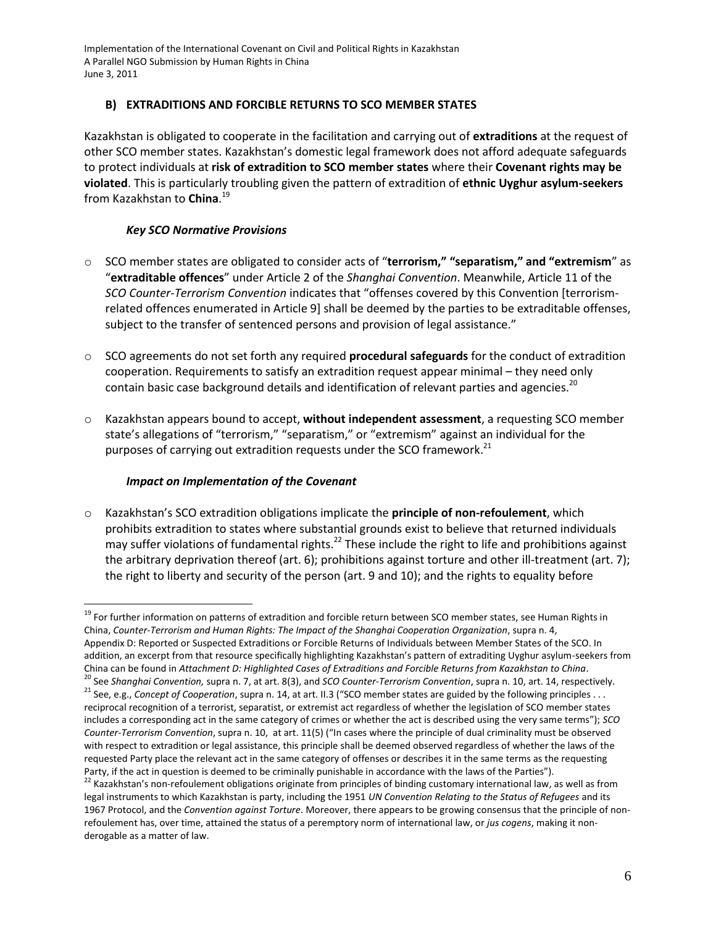## **B) EXTRADITIONS AND FORCIBLE RETURNS TO SCO MEMBER STATES**

Kazakhstan is obligated to cooperate in the facilitation and carrying out of **extraditions** at the request of other SCO member states. Kazakhstan's domestic legal framework does not afford adequate safeguards to protect individuals at **risk of extradition to SCO member states** where their **Covenant rights may be violated**. This is particularly troubling given the pattern of extradition of **ethnic Uyghur asylum-seekers**  from Kazakhstan to **China**. 19

## *Key SCO Normative Provisions*

- o SCO member states are obligated to consider acts of "**terrorism," "separatism," and "extremism**" as "**extraditable offences**" under Article 2 of the *Shanghai Convention*. Meanwhile, Article 11 of the *SCO Counter-Terrorism Convention* indicates that "offenses covered by this Convention [terrorismrelated offences enumerated in Article 9] shall be deemed by the parties to be extraditable offenses, subject to the transfer of sentenced persons and provision of legal assistance."
- o SCO agreements do not set forth any required **procedural safeguards** for the conduct of extradition cooperation. Requirements to satisfy an extradition request appear minimal – they need only contain basic case background details and identification of relevant parties and agencies.<sup>20</sup>
- o Kazakhstan appears bound to accept, **without independent assessment**, a requesting SCO member state's allegations of "terrorism," "separatism," or "extremism" against an individual for the purposes of carrying out extradition requests under the SCO framework.<sup>21</sup>

## *Impact on Implementation of the Covenant*

 $\overline{a}$ 

o Kazakhstan's SCO extradition obligations implicate the **principle of non-refoulement**, which prohibits extradition to states where substantial grounds exist to believe that returned individuals may suffer violations of fundamental rights.<sup>22</sup> These include the right to life and prohibitions against the arbitrary deprivation thereof (art. 6); prohibitions against torture and other ill-treatment (art. 7); the right to liberty and security of the person (art. 9 and 10); and the rights to equality before

<sup>&</sup>lt;sup>19</sup> For further information on patterns of extradition and forcible return between SCO member states, see Human Rights in China, *Counter-Terrorism and Human Rights: The Impact of the Shanghai Cooperation Organization*, supra n. [4,](#page-0-0)  Appendix D: Reported or Suspected Extraditions or Forcible Returns of Individuals between Member States of the SCO. In addition, an excerpt from that resource specifically highlighting Kazakhstan's pattern of extraditing Uyghur asylum-seekers from China can be found in *Attachment D: Highlighted Cases of Extraditions and Forcible Returns from Kazakhstan to China*. <sup>20</sup> See *Shanghai Convention,* supra n. [7,](#page-2-2) at art. 8(3), and *SCO Counter-Terrorism Convention*, supra n. [10,](#page-2-0) art. 14, respectively. <sup>21</sup> See, e.g., *Concept of Cooperation*, supra n. [14](#page-3-0), at art. II.3 ("SCO member states are guided by the following principles . . . reciprocal recognition of a terrorist, separatist, or extremist act regardless of whether the legislation of SCO member states includes a corresponding act in the same category of crimes or whether the act is described using the very same terms"); *SCO Counter-Terrorism Convention*, supra n. [10](#page-2-0), at art. 11(5) ("In cases where the principle of dual criminality must be observed with respect to extradition or legal assistance, this principle shall be deemed observed regardless of whether the laws of the requested Party place the relevant act in the same category of offenses or describes it in the same terms as the requesting Party, if the act in question is deemed to be criminally punishable in accordance with the laws of the Parties").

<sup>&</sup>lt;sup>22</sup> Kazakhstan's non-refoulement obligations originate from principles of binding customary international law, as well as from legal instruments to which Kazakhstan is party, including the 1951 *UN Convention Relating to the Status of Refugees* and its 1967 Protocol, and the *Convention against Torture*. Moreover, there appears to be growing consensus that the principle of nonrefoulement has, over time, attained the status of a peremptory norm of international law, or *jus cogens*, making it nonderogable as a matter of law.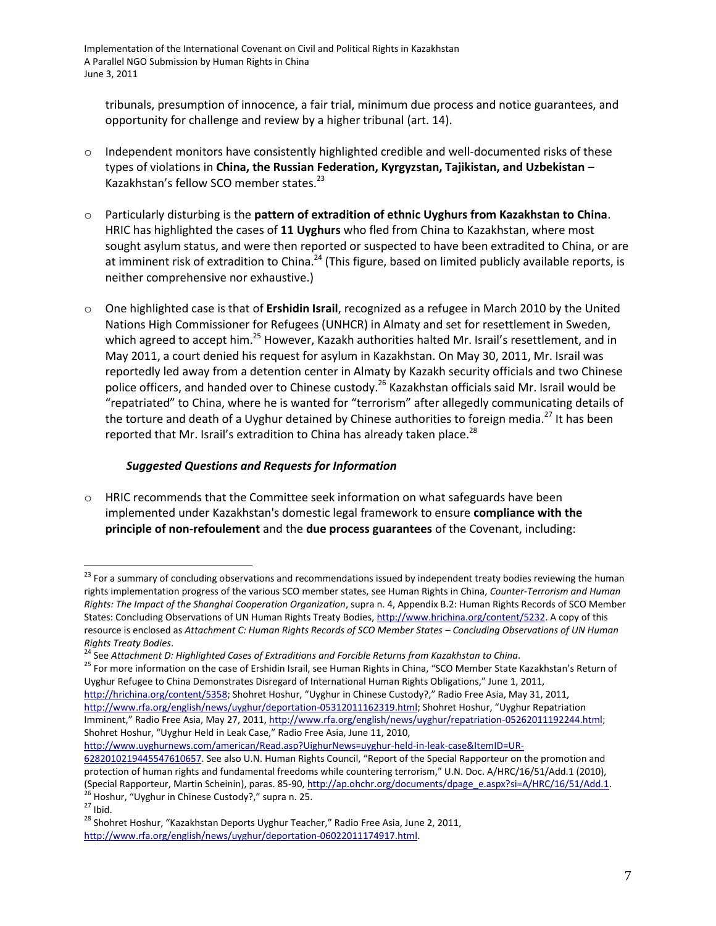tribunals, presumption of innocence, a fair trial, minimum due process and notice guarantees, and opportunity for challenge and review by a higher tribunal (art. 14).

- $\circ$  Independent monitors have consistently highlighted credible and well-documented risks of these types of violations in **China, the Russian Federation, Kyrgyzstan, Tajikistan, and Uzbekistan** – Kazakhstan's fellow SCO member states.<sup>23</sup>
- o Particularly disturbing is the **pattern of extradition of ethnic Uyghurs from Kazakhstan to China**. HRIC has highlighted the cases of **11 Uyghurs** who fled from China to Kazakhstan, where most sought asylum status, and were then reported or suspected to have been extradited to China, or are at imminent risk of extradition to China.<sup>24</sup> (This figure, based on limited publicly available reports, is neither comprehensive nor exhaustive.)
- <span id="page-6-0"></span>o One highlighted case is that of **Ershidin Israil**, recognized as a refugee in March 2010 by the United Nations High Commissioner for Refugees (UNHCR) in Almaty and set for resettlement in Sweden, which agreed to accept him.<sup>25</sup> However, Kazakh authorities halted Mr. Israil's resettlement, and in May 2011, a court denied his request for asylum in Kazakhstan. On May 30, 2011, Mr. Israil was reportedly led away from a detention center in Almaty by Kazakh security officials and two Chinese police officers, and handed over to Chinese custody.<sup>26</sup> Kazakhstan officials said Mr. Israil would be "repatriated" to China, where he is wanted for "terrorism" after allegedly communicating details of the torture and death of a Uyghur detained by Chinese authorities to foreign media.<sup>27</sup> It has been reported that Mr. Israil's extradition to China has already taken place.<sup>28</sup>

## *Suggested Questions and Requests for Information*

 $\circ$  HRIC recommends that the Committee seek information on what safeguards have been implemented under Kazakhstan's domestic legal framework to ensure **compliance with the principle of non-refoulement** and the **due process guarantees** of the Covenant, including:

[http://www.uyghurnews.com/american/Read.asp?UighurNews=uyghur-held-in-leak-case&ItemID=UR-](http://www.uyghurnews.com/american/Read.asp?UighurNews=uyghur-held-in-leak-case&ItemID=UR-6282010219445547610657)

<sup>&</sup>lt;sup>23</sup> For a summary of concluding observations and recommendations issued by independent treaty bodies reviewing the human rights implementation progress of the various SCO member states, see Human Rights in China, *Counter-Terrorism and Human Rights: The Impact of the Shanghai Cooperation Organization*, supra n. [4,](#page-0-0) Appendix B.2: Human Rights Records of SCO Member States: Concluding Observations of UN Human Rights Treaty Bodies[, http://www.hrichina.org/content/5232.](http://www.hrichina.org/content/5232) A copy of this resource is enclosed as *Attachment C: Human Rights Records of SCO Member States – Concluding Observations of UN Human Rights Treaty Bodies*.

<sup>24</sup> See *Attachment D: Highlighted Cases of Extraditions and Forcible Returns from Kazakhstan to China*.

<sup>&</sup>lt;sup>25</sup> For more information on the case of Ershidin Israil, see Human Rights in China, "SCO Member State Kazakhstan's Return of Uyghur Refugee to China Demonstrates Disregard of International Human Rights Obligations," June 1, 2011, [http://hrichina.org/content/5358;](http://hrichina.org/content/5358) Shohret Hoshur, "Uyghur in Chinese Custody?," Radio Free Asia, May 31, 2011,

[http://www.rfa.org/english/news/uyghur/deportation-05312011162319.html;](http://www.rfa.org/english/news/uyghur/deportation-05312011162319.html) Shohret Hoshur, "Uyghur Repatriation Imminent," Radio Free Asia, May 27, 2011, http://www.rfa.org/english/news/uyghur/repatriation-05262011192244.html; Shohret Hoshur, "Uyghur Held in Leak Case," Radio Free Asia, June 11, 2010,

[<sup>6282010219445547610657</sup>](http://www.uyghurnews.com/american/Read.asp?UighurNews=uyghur-held-in-leak-case&ItemID=UR-6282010219445547610657). See also U.N. Human Rights Council, "Report of the Special Rapporteur on the promotion and protection of human rights and fundamental freedoms while countering terrorism," U.N. Doc. A/HRC/16/51/Add.1 (2010), (Special Rapporteur, Martin Scheinin), paras. 85-90, [http://ap.ohchr.org/documents/dpage\\_e.aspx?si=A/HRC/16/51/Add.1.](http://ap.ohchr.org/documents/dpage_e.aspx?si=A/HRC/16/51/Add.1) <sup>26</sup> Hoshur, "Uyghur in Chinese Custody?," supra n. [25.](#page-6-0)

 $^{27}$  Ibid.

<sup>&</sup>lt;sup>28</sup> Shohret Hoshur, "Kazakhstan Deports Uyghur Teacher," Radio Free Asia, June 2, 2011, [http://www.rfa.org/english/news/uyghur/deportation-06022011174917.html.](http://www.rfa.org/english/news/uyghur/deportation-06022011174917.html)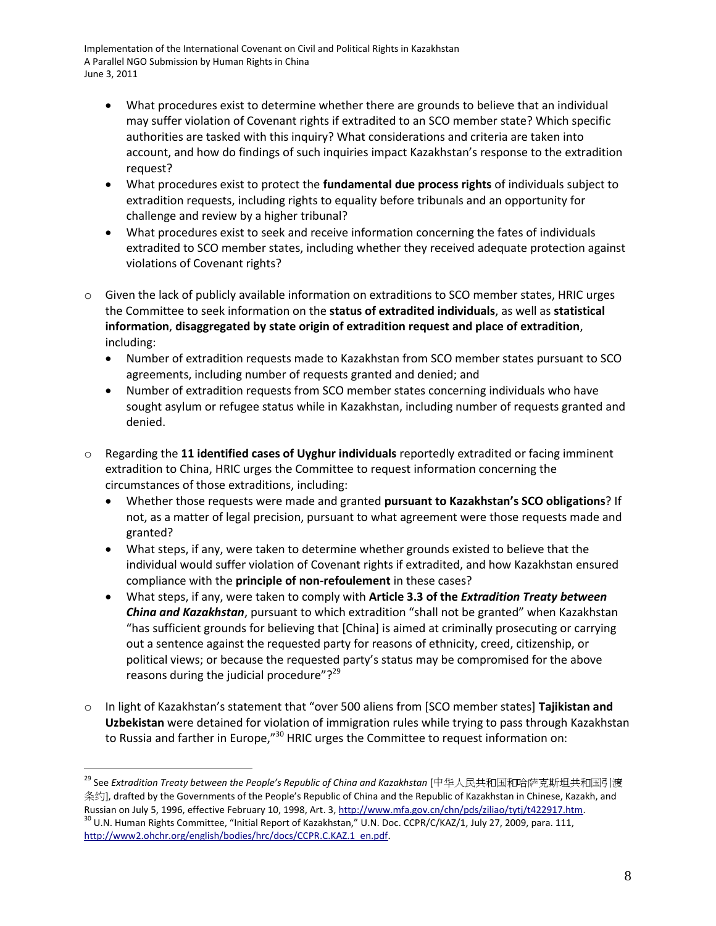- What procedures exist to determine whether there are grounds to believe that an individual may suffer violation of Covenant rights if extradited to an SCO member state? Which specific authorities are tasked with this inquiry? What considerations and criteria are taken into account, and how do findings of such inquiries impact Kazakhstan's response to the extradition request?
- What procedures exist to protect the **fundamental due process rights** of individuals subject to extradition requests, including rights to equality before tribunals and an opportunity for challenge and review by a higher tribunal?
- What procedures exist to seek and receive information concerning the fates of individuals extradited to SCO member states, including whether they received adequate protection against violations of Covenant rights?
- $\circ$  Given the lack of publicly available information on extraditions to SCO member states, HRIC urges the Committee to seek information on the **status of extradited individuals**, as well as **statistical information**, **disaggregated by state origin of extradition request and place of extradition**, including:
	- Number of extradition requests made to Kazakhstan from SCO member states pursuant to SCO agreements, including number of requests granted and denied; and
	- Number of extradition requests from SCO member states concerning individuals who have sought asylum or refugee status while in Kazakhstan, including number of requests granted and denied.
- o Regarding the **11 identified cases of Uyghur individuals** reportedly extradited or facing imminent extradition to China, HRIC urges the Committee to request information concerning the circumstances of those extraditions, including:
	- Whether those requests were made and granted **pursuant to Kazakhstan's SCO obligations**? If not, as a matter of legal precision, pursuant to what agreement were those requests made and granted?
	- What steps, if any, were taken to determine whether grounds existed to believe that the individual would suffer violation of Covenant rights if extradited, and how Kazakhstan ensured compliance with the **principle of non-refoulement** in these cases?
	- What steps, if any, were taken to comply with **Article 3.3 of the** *Extradition Treaty between China and Kazakhstan*, pursuant to which extradition "shall not be granted" when Kazakhstan "has sufficient grounds for believing that [China] is aimed at criminally prosecuting or carrying out a sentence against the requested party for reasons of ethnicity, creed, citizenship, or political views; or because the requested party's status may be compromised for the above reasons during the judicial procedure"? $29$
- <span id="page-7-0"></span>o In light of Kazakhstan's statement that "over 500 aliens from [SCO member states] Tajikistan and **Uzbekistan** were detained for violation of immigration rules while trying to pass through Kazakhstan to Russia and farther in Europe," $30$  HRIC urges the Committee to request information on:

<sup>29</sup> See *Extradition Treaty between the People's Republic of China and Kazakhstan* [中华人民共和国和哈萨克斯坦共和国引渡 条约, drafted by the Governments of the People's Republic of China and the Republic of Kazakhstan in Chinese, Kazakh, and Russian on July 5, 1996, effective February 10, 1998, Art. 3, http://www.mfa.gov.cn/chn/pds/ziliao/tytj/t422917.htm.  $30$  U.N. Human Rights Committee, "Initial Report of Kazakhstan," U.N. Doc. CCPR/C/KAZ/1, July 27, 2009, para. 111, [http://www2.ohchr.org/english/bodies/hrc/docs/CCPR.C.KAZ.1\\_en.pdf](http://www2.ohchr.org/english/bodies/hrc/docs/CCPR.C.KAZ.1_en.pdf).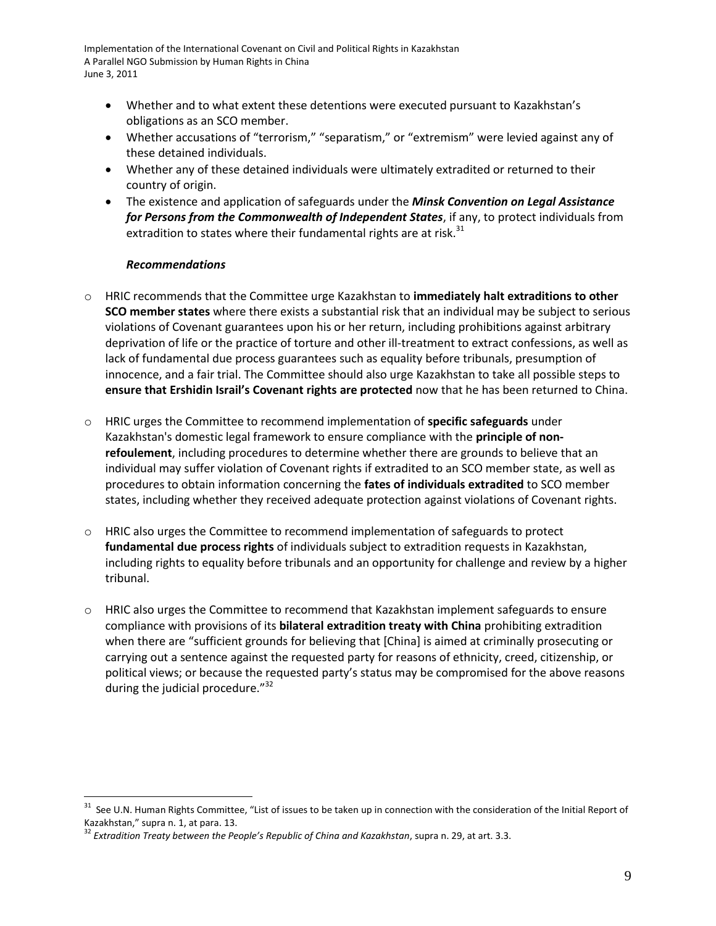- Whether and to what extent these detentions were executed pursuant to Kazakhstan's obligations as an SCO member.
- Whether accusations of "terrorism," "separatism," or "extremism" were levied against any of these detained individuals.
- Whether any of these detained individuals were ultimately extradited or returned to their country of origin.
- The existence and application of safeguards under the *Minsk Convention on Legal Assistance for Persons from the Commonwealth of Independent States*, if any, to protect individuals from extradition to states where their fundamental rights are at risk. $31$

#### *Recommendations*

- o HRIC recommends that the Committee urge Kazakhstan to **immediately halt extraditions to other SCO member states** where there exists a substantial risk that an individual may be subject to serious violations of Covenant guarantees upon his or her return, including prohibitions against arbitrary deprivation of life or the practice of torture and other ill-treatment to extract confessions, as well as lack of fundamental due process guarantees such as equality before tribunals, presumption of innocence, and a fair trial. The Committee should also urge Kazakhstan to take all possible steps to **ensure that Ershidin Israil's Covenant rights are protected** now that he has been returned to China.
- o HRIC urges the Committee to recommend implementation of **specific safeguards** under Kazakhstan's domestic legal framework to ensure compliance with the **principle of nonrefoulement**, including procedures to determine whether there are grounds to believe that an individual may suffer violation of Covenant rights if extradited to an SCO member state, as well as procedures to obtain information concerning the **fates of individuals extradited** to SCO member states, including whether they received adequate protection against violations of Covenant rights.
- o HRIC also urges the Committee to recommend implementation of safeguards to protect **fundamental due process rights** of individuals subject to extradition requests in Kazakhstan, including rights to equality before tribunals and an opportunity for challenge and review by a higher tribunal.
- $\circ$  HRIC also urges the Committee to recommend that Kazakhstan implement safeguards to ensure compliance with provisions of its **bilateral extradition treaty with China** prohibiting extradition when there are "sufficient grounds for believing that [China] is aimed at criminally prosecuting or carrying out a sentence against the requested party for reasons of ethnicity, creed, citizenship, or political views; or because the requested party's status may be compromised for the above reasons during the judicial procedure."<sup>32</sup>

<sup>&</sup>lt;sup>31</sup> See U.N. Human Rights Committee, "List of issues to be taken up in connection with the consideration of the Initial Report of Kazakhstan," supra n. [1,](#page-0-1) at para. 13.

<sup>32</sup> *Extradition Treaty between the People's Republic of China and Kazakhstan*, supra n. [29,](#page-7-0) at art. 3.3.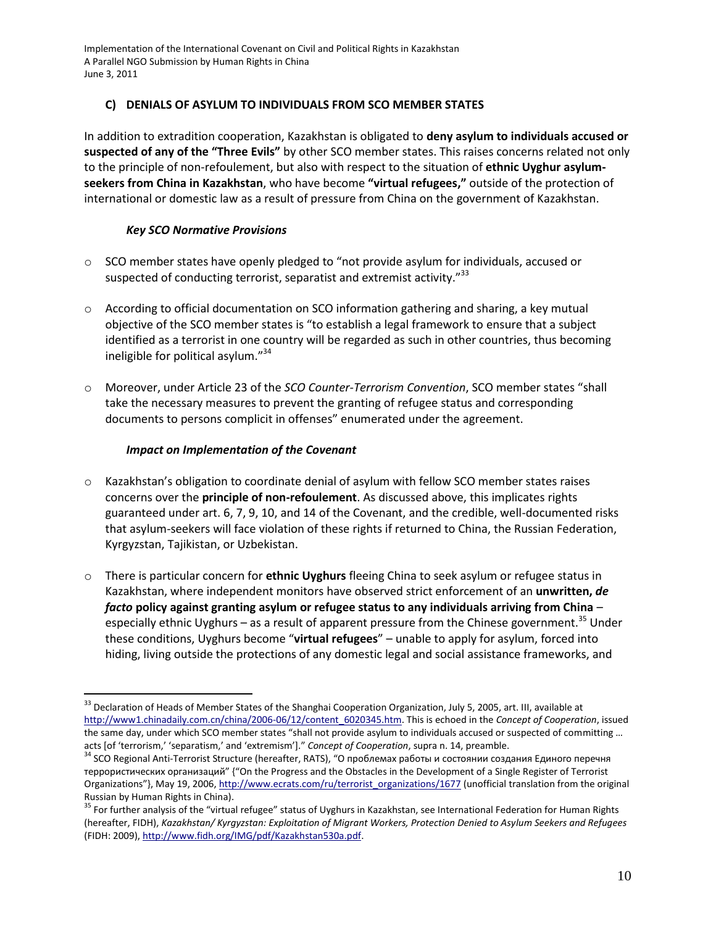## **C) DENIALS OF ASYLUM TO INDIVIDUALS FROM SCO MEMBER STATES**

In addition to extradition cooperation, Kazakhstan is obligated to **deny asylum to individuals accused or suspected of any of the "Three Evils"** by other SCO member states. This raises concerns related not only to the principle of non-refoulement, but also with respect to the situation of **ethnic Uyghur asylumseekers from China in Kazakhstan**, who have become **"virtual refugees,"** outside of the protection of international or domestic law as a result of pressure from China on the government of Kazakhstan.

## *Key SCO Normative Provisions*

- $\circ$  SCO member states have openly pledged to "not provide asylum for individuals, accused or suspected of conducting terrorist, separatist and extremist activity."<sup>33</sup>
- o According to official documentation on SCO information gathering and sharing, a key mutual objective of the SCO member states is "to establish a legal framework to ensure that a subject identified as a terrorist in one country will be regarded as such in other countries, thus becoming ineligible for political asylum."<sup>34</sup>
- o Moreover, under Article 23 of the *SCO Counter-Terrorism Convention*, SCO member states "shall take the necessary measures to prevent the granting of refugee status and corresponding documents to persons complicit in offenses" enumerated under the agreement.

## *Impact on Implementation of the Covenant*

- o Kazakhstan's obligation to coordinate denial of asylum with fellow SCO member states raises concerns over the **principle of non-refoulement**. As discussed above, this implicates rights guaranteed under art. 6, 7, 9, 10, and 14 of the Covenant, and the credible, well-documented risks that asylum-seekers will face violation of these rights if returned to China, the Russian Federation, Kyrgyzstan, Tajikistan, or Uzbekistan.
- o There is particular concern for **ethnic Uyghurs** fleeing China to seek asylum or refugee status in Kazakhstan, where independent monitors have observed strict enforcement of an **unwritten,** *de facto* **policy against granting asylum or refugee status to any individuals arriving from China** – especially ethnic Uyghurs – as a result of apparent pressure from the Chinese government.<sup>35</sup> Under these conditions, Uyghurs become "**virtual refugees**" – unable to apply for asylum, forced into hiding, living outside the protections of any domestic legal and social assistance frameworks, and

<sup>&</sup>lt;sup>33</sup> Declaration of Heads of Member States of the Shanghai Cooperation Organization, July 5, 2005, art. III, available at [http://www1.chinadaily.com.cn/china/2006-06/12/content\\_6020345.htm.](http://www1.chinadaily.com.cn/china/2006-06/12/content_6020345.htm) This is echoed in the *Concept of Cooperation*, issued the same day, under which SCO member states "shall not provide asylum to individuals accused or suspected of committing … acts [of 'terrorism,' 'separatism,' and 'extremism']." *Concept of Cooperation*, supra n. [14,](#page-3-0) preamble.

 $34$  SCO Regional Anti-Terrorist Structure (hereafter, RATS), "О проблемах работы и состоянии создания Единого перечня террористических организаций" {"On the Progress and the Obstacles in the Development of a Single Register of Terrorist Organizations"}, May 19, 2006, [http://www.ecrats.com/ru/terrorist\\_organizations/1677](http://www.ecrats.com/ru/terrorist_organizations/1677) (unofficial translation from the original Russian by Human Rights in China).

<sup>&</sup>lt;sup>35</sup> For further analysis of the "virtual refugee" status of Uyghurs in Kazakhstan, see International Federation for Human Rights (hereafter, FIDH), *Kazakhstan/ Kyrgyzstan: Exploitation of Migrant Workers, Protection Denied to Asylum Seekers and Refugees* (FIDH: 2009), [http://www.fidh.org/IMG/pdf/Kazakhstan530a.pdf.](http://www.fidh.org/IMG/pdf/Kazakhstan530a.pdf)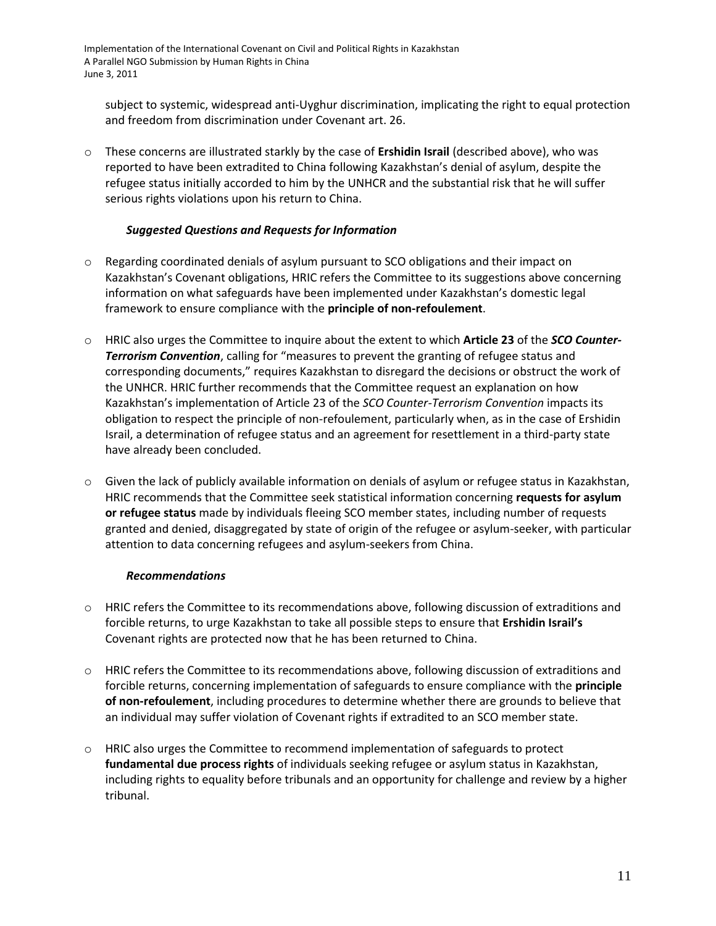subject to systemic, widespread anti-Uyghur discrimination, implicating the right to equal protection and freedom from discrimination under Covenant art. 26.

o These concerns are illustrated starkly by the case of **Ershidin Israil** (described above), who was reported to have been extradited to China following Kazakhstan's denial of asylum, despite the refugee status initially accorded to him by the UNHCR and the substantial risk that he will suffer serious rights violations upon his return to China.

## *Suggested Questions and Requests for Information*

- o Regarding coordinated denials of asylum pursuant to SCO obligations and their impact on Kazakhstan's Covenant obligations, HRIC refers the Committee to its suggestions above concerning information on what safeguards have been implemented under Kazakhstan's domestic legal framework to ensure compliance with the **principle of non-refoulement**.
- o HRIC also urges the Committee to inquire about the extent to which **Article 23** of the *SCO Counter-Terrorism Convention*, calling for "measures to prevent the granting of refugee status and corresponding documents," requires Kazakhstan to disregard the decisions or obstruct the work of the UNHCR. HRIC further recommends that the Committee request an explanation on how Kazakhstan's implementation of Article 23 of the *SCO Counter-Terrorism Convention* impacts its obligation to respect the principle of non-refoulement, particularly when, as in the case of Ershidin Israil, a determination of refugee status and an agreement for resettlement in a third-party state have already been concluded.
- o Given the lack of publicly available information on denials of asylum or refugee status in Kazakhstan, HRIC recommends that the Committee seek statistical information concerning **requests for asylum or refugee status** made by individuals fleeing SCO member states, including number of requests granted and denied, disaggregated by state of origin of the refugee or asylum-seeker, with particular attention to data concerning refugees and asylum-seekers from China.

## *Recommendations*

- $\circ$  HRIC refers the Committee to its recommendations above, following discussion of extraditions and forcible returns, to urge Kazakhstan to take all possible steps to ensure that **Ershidin Israil's**  Covenant rights are protected now that he has been returned to China.
- o HRIC refers the Committee to its recommendations above, following discussion of extraditions and forcible returns, concerning implementation of safeguards to ensure compliance with the **principle of non-refoulement**, including procedures to determine whether there are grounds to believe that an individual may suffer violation of Covenant rights if extradited to an SCO member state.
- o HRIC also urges the Committee to recommend implementation of safeguards to protect **fundamental due process rights** of individuals seeking refugee or asylum status in Kazakhstan, including rights to equality before tribunals and an opportunity for challenge and review by a higher tribunal.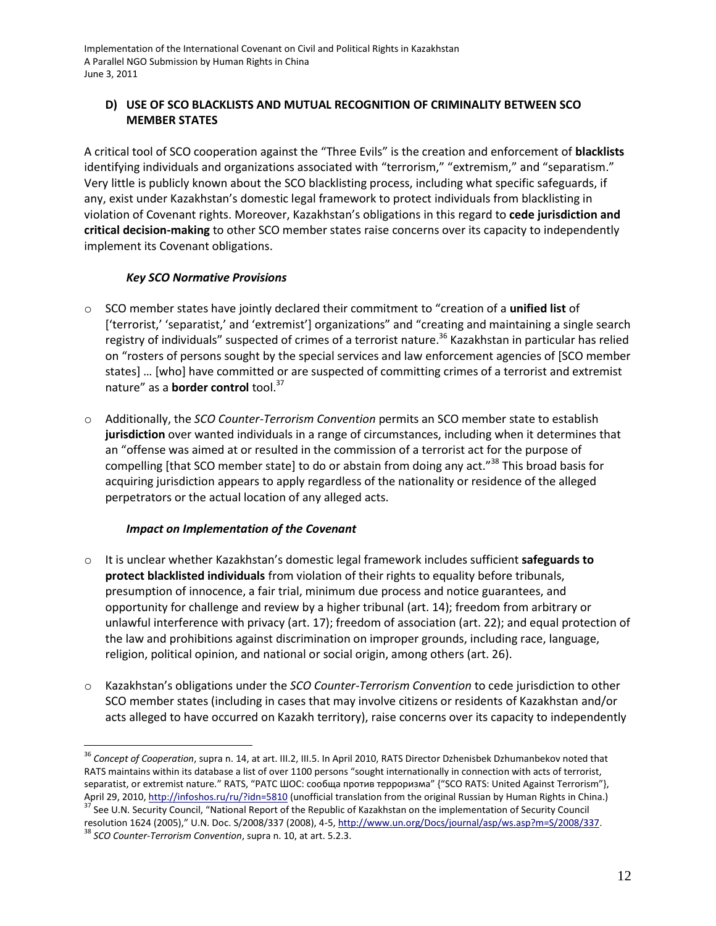# **D) USE OF SCO BLACKLISTS AND MUTUAL RECOGNITION OF CRIMINALITY BETWEEN SCO MEMBER STATES**

A critical tool of SCO cooperation against the "Three Evils" is the creation and enforcement of **blacklists** identifying individuals and organizations associated with "terrorism," "extremism," and "separatism." Very little is publicly known about the SCO blacklisting process, including what specific safeguards, if any, exist under Kazakhstan's domestic legal framework to protect individuals from blacklisting in violation of Covenant rights. Moreover, Kazakhstan's obligations in this regard to **cede jurisdiction and critical decision-making** to other SCO member states raise concerns over its capacity to independently implement its Covenant obligations.

## *Key SCO Normative Provisions*

- o SCO member states have jointly declared their commitment to "creation of a **unified list** of ['terrorist,' 'separatist,' and 'extremist'] organizations" and "creating and maintaining a single search registry of individuals" suspected of crimes of a terrorist nature. <sup>36</sup> Kazakhstan in particular has relied on "rosters of persons sought by the special services and law enforcement agencies of [SCO member states] ... [who] have committed or are suspected of committing crimes of a terrorist and extremist nature" as a **border control** tool.<sup>37</sup>
- o Additionally, the *SCO Counter-Terrorism Convention* permits an SCO member state to establish **jurisdiction** over wanted individuals in a range of circumstances, including when it determines that an "offense was aimed at or resulted in the commission of a terrorist act for the purpose of compelling [that SCO member state] to do or abstain from doing any act."<sup>38</sup> This broad basis for acquiring jurisdiction appears to apply regardless of the nationality or residence of the alleged perpetrators or the actual location of any alleged acts.

## *Impact on Implementation of the Covenant*

- o It is unclear whether Kazakhstan's domestic legal framework includes sufficient **safeguards to protect blacklisted individuals** from violation of their rights to equality before tribunals, presumption of innocence, a fair trial, minimum due process and notice guarantees, and opportunity for challenge and review by a higher tribunal (art. 14); freedom from arbitrary or unlawful interference with privacy (art. 17); freedom of association (art. 22); and equal protection of the law and prohibitions against discrimination on improper grounds, including race, language, religion, political opinion, and national or social origin, among others (art. 26).
- o Kazakhstan's obligations under the *SCO Counter-Terrorism Convention* to cede jurisdiction to other SCO member states (including in cases that may involve citizens or residents of Kazakhstan and/or acts alleged to have occurred on Kazakh territory), raise concerns over its capacity to independently

 $\overline{a}$ <sup>36</sup> *Concept of Cooperation*, supra n. [14,](#page-3-0) at art. III.2, III.5. In April 2010, RATS Director Dzhenisbek Dzhumanbekov noted that RATS maintains within its database a list of over 1100 persons "sought internationally in connection with acts of terrorist, separatist, or extremist nature." RATS, "PATC ШОС: сообща против терроризма" {"SCO RATS: United Against Terrorism"}, April 29, 2010[, http://infoshos.ru/ru/?idn=5810](http://infoshos.ru/ru/?idn=5810) (unofficial translation from the original Russian by Human Rights in China.) <sup>37</sup> See U.N. Security Council, "National Report of the Republic of Kazakhstan on the implementation of Security Council

resolution 1624 (2005)," U.N. Doc. S/2008/337 (2008), 4-5[, http://www.un.org/Docs/journal/asp/ws.asp?m=S/2008/337.](http://www.un.org/Docs/journal/asp/ws.asp?m=S/2008/337)

<sup>38</sup> *SCO Counter-Terrorism Convention*, supra n. [10,](#page-2-0) at art. 5.2.3.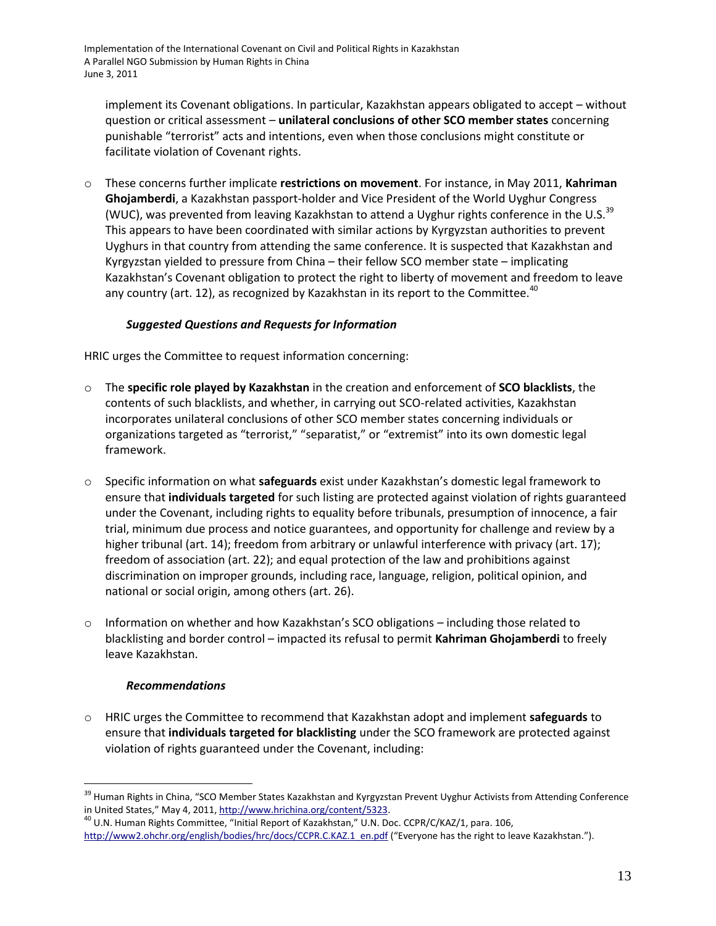implement its Covenant obligations. In particular, Kazakhstan appears obligated to accept – without question or critical assessment – **unilateral conclusions of other SCO member states** concerning punishable "terrorist" acts and intentions, even when those conclusions might constitute or facilitate violation of Covenant rights.

o These concerns further implicate **restrictions on movement**. For instance, in May 2011, **Kahriman Ghojamberdi**, a Kazakhstan passport-holder and Vice President of the World Uyghur Congress (WUC), was prevented from leaving Kazakhstan to attend a Uyghur rights conference in the U.S.  $39$ This appears to have been coordinated with similar actions by Kyrgyzstan authorities to prevent Uyghurs in that country from attending the same conference. It is suspected that Kazakhstan and Kyrgyzstan yielded to pressure from China – their fellow SCO member state – implicating Kazakhstan's Covenant obligation to protect the right to liberty of movement and freedom to leave any country (art. 12), as recognized by Kazakhstan in its report to the Committee.<sup>40</sup>

# *Suggested Questions and Requests for Information*

HRIC urges the Committee to request information concerning:

- o The **specific role played by Kazakhstan** in the creation and enforcement of **SCO blacklists**, the contents of such blacklists, and whether, in carrying out SCO-related activities, Kazakhstan incorporates unilateral conclusions of other SCO member states concerning individuals or organizations targeted as "terrorist," "separatist," or "extremist" into its own domestic legal framework.
- o Specific information on what **safeguards** exist under Kazakhstan's domestic legal framework to ensure that **individuals targeted** for such listing are protected against violation of rights guaranteed under the Covenant, including rights to equality before tribunals, presumption of innocence, a fair trial, minimum due process and notice guarantees, and opportunity for challenge and review by a higher tribunal (art. 14); freedom from arbitrary or unlawful interference with privacy (art. 17); freedom of association (art. 22); and equal protection of the law and prohibitions against discrimination on improper grounds, including race, language, religion, political opinion, and national or social origin, among others (art. 26).
- $\circ$  Information on whether and how Kazakhstan's SCO obligations including those related to blacklisting and border control – impacted its refusal to permit **Kahriman Ghojamberdi** to freely leave Kazakhstan.

## *Recommendations*

 $\overline{a}$ 

o HRIC urges the Committee to recommend that Kazakhstan adopt and implement **safeguards** to ensure that **individuals targeted for blacklisting** under the SCO framework are protected against violation of rights guaranteed under the Covenant, including:

<sup>&</sup>lt;sup>39</sup> Human Rights in China, "SCO Member States Kazakhstan and Kyrgyzstan Prevent Uyghur Activists from Attending Conference in United States," May 4, 2011, [http://www.hrichina.org/content/5323.](http://www.hrichina.org/content/5323)

<sup>&</sup>lt;sup>40</sup> U.N. Human Rights Committee, "Initial Report of Kazakhstan," U.N. Doc. CCPR/C/KAZ/1, para. 106, [http://www2.ohchr.org/english/bodies/hrc/docs/CCPR.C.KAZ.1\\_en.pdf](http://www2.ohchr.org/english/bodies/hrc/docs/CCPR.C.KAZ.1_en.pdf) ("Everyone has the right to leave Kazakhstan.").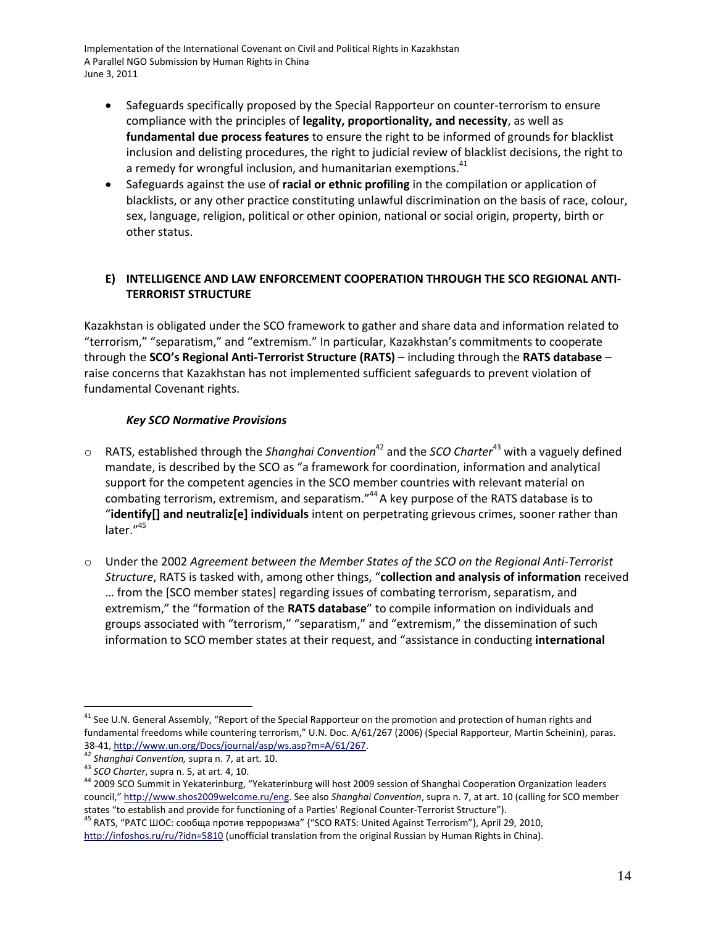- Safeguards specifically proposed by the Special Rapporteur on counter-terrorism to ensure compliance with the principles of **legality, proportionality, and necessity**, as well as **fundamental due process features** to ensure the right to be informed of grounds for blacklist inclusion and delisting procedures, the right to judicial review of blacklist decisions, the right to a remedy for wrongful inclusion, and humanitarian exemptions.<sup>41</sup>
- Safeguards against the use of **racial or ethnic profiling** in the compilation or application of blacklists, or any other practice constituting unlawful discrimination on the basis of race, colour, sex, language, religion, political or other opinion, national or social origin, property, birth or other status.

# **E) INTELLIGENCE AND LAW ENFORCEMENT COOPERATION THROUGH THE SCO REGIONAL ANTI-TERRORIST STRUCTURE**

Kazakhstan is obligated under the SCO framework to gather and share data and information related to "terrorism," "separatism," and "extremism." In particular, Kazakhstan's commitments to cooperate through the **SCO's Regional Anti-Terrorist Structure (RATS)** – including through the **RATS database** – raise concerns that Kazakhstan has not implemented sufficient safeguards to prevent violation of fundamental Covenant rights.

# *Key SCO Normative Provisions*

- o RATS, established through the *Shanghai Convention*<sup>42</sup> and the *SCO Charter*<sup>43</sup> with a vaguely defined mandate, is described by the SCO as "a framework for coordination, information and analytical support for the competent agencies in the SCO member countries with relevant material on combating terrorism, extremism, and separatism."<sup>44</sup> A key purpose of the RATS database is to "**identify[] and neutraliz[e] individuals** intent on perpetrating grievous crimes, sooner rather than later." 45
- o Under the 2002 *Agreement between the Member States of the SCO on the Regional Anti-Terrorist Structure*, RATS is tasked with, among other things, "**collection and analysis of information** received ... from the [SCO member states] regarding issues of combating terrorism, separatism, and extremism," the "formation of the **RATS database**" to compile information on individuals and groups associated with "terrorism," "separatism," and "extremism," the dissemination of such information to SCO member states at their request, and "assistance in conducting **international**

<sup>&</sup>lt;sup>41</sup> See U.N. General Assembly, "Report of the Special Rapporteur on the promotion and protection of human rights and fundamental freedoms while countering terrorism," U.N. Doc. A/61/267 (2006) (Special Rapporteur, Martin Scheinin), paras. 38-41[, http://www.un.org/Docs/journal/asp/ws.asp?m=A/61/267.](http://www.un.org/Docs/journal/asp/ws.asp?m=A/61/267)

<sup>42</sup> *Shanghai Convention,* supra n. [7,](#page-2-2) at art. 10.

<sup>43</sup> *SCO Charter*, supra n. [5,](#page-1-0) at art. 4, 10.

<sup>&</sup>lt;sup>44</sup> 2009 SCO Summit in Yekaterinburg, "Yekaterinburg will host 2009 session of Shanghai Cooperation Organization leaders council," [http://www.shos2009welcome.ru/eng.](http://www.shos2009welcome.ru/eng) See also *Shanghai Convention*, supra n[. 7,](#page-2-2) at art. 10 (calling for SCO member states "to establish and provide for functioning of a Parties' Regional Counter-Terrorist Structure").

<sup>&</sup>lt;sup>45</sup> RATS, "РАТС ШОС: сообща против терроризма" {"SCO RATS: United Against Terrorism"}, April 29, 2010, <http://infoshos.ru/ru/?idn=5810> (unofficial translation from the original Russian by Human Rights in China).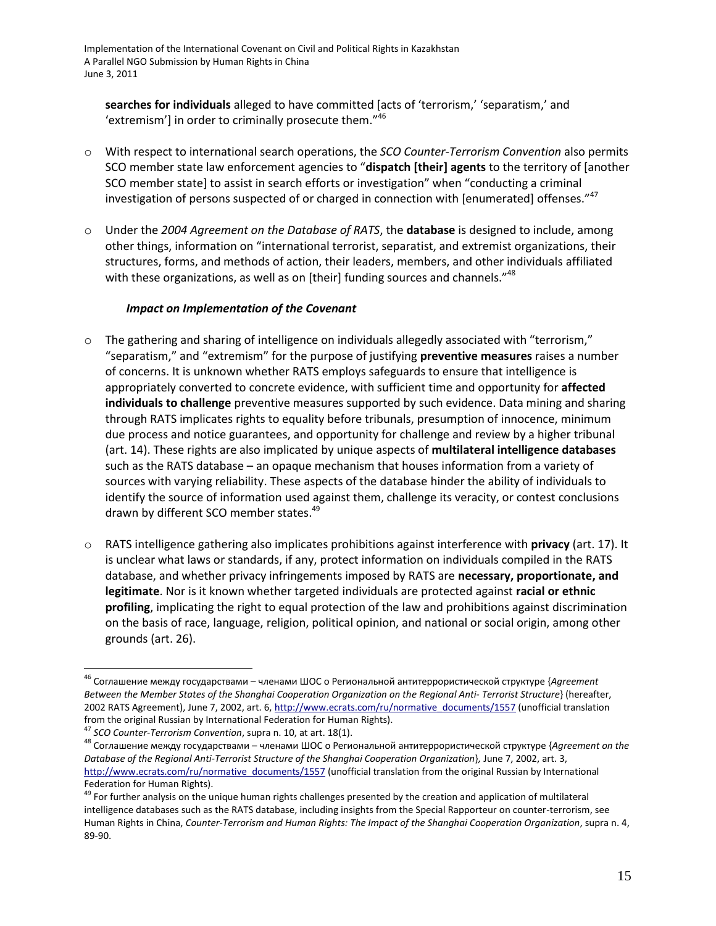searches for individuals alleged to have committed facts of 'terrorism,' 'separatism,' and 'extremism'] in order to criminally prosecute them. $146$ 

- o With respect to international search operations, the *SCO Counter-Terrorism Convention* also permits SCO member state law enforcement agencies to "**dispatch [their] agents** to the territory of [another SCO member state] to assist in search efforts or investigation" when "conducting a criminal investigation of persons suspected of or charged in connection with [enumerated] offenses."<sup>47</sup>
- o Under the *2004 Agreement on the Database of RATS*, the **database** is designed to include, among other things, information on "international terrorist, separatist, and extremist organizations, their structures, forms, and methods of action, their leaders, members, and other individuals affiliated with these organizations, as well as on [their] funding sources and channels."<sup>48</sup>

#### *Impact on Implementation of the Covenant*

- o The gathering and sharing of intelligence on individuals allegedly associated with "terrorism," "separatism," and "extremism" for the purpose of justifying **preventive measures** raises a number of concerns. It is unknown whether RATS employs safeguards to ensure that intelligence is appropriately converted to concrete evidence, with sufficient time and opportunity for **affected individuals to challenge** preventive measures supported by such evidence. Data mining and sharing through RATS implicates rights to equality before tribunals, presumption of innocence, minimum due process and notice guarantees, and opportunity for challenge and review by a higher tribunal (art. 14). These rights are also implicated by unique aspects of **multilateral intelligence databases** such as the RATS database – an opaque mechanism that houses information from a variety of sources with varying reliability. These aspects of the database hinder the ability of individuals to identify the source of information used against them, challenge its veracity, or contest conclusions drawn by different SCO member states.<sup>49</sup>
- o RATS intelligence gathering also implicates prohibitions against interference with **privacy** (art. 17). It is unclear what laws or standards, if any, protect information on individuals compiled in the RATS database, and whether privacy infringements imposed by RATS are **necessary, proportionate, and legitimate**. Nor is it known whether targeted individuals are protected against **racial or ethnic profiling**, implicating the right to equal protection of the law and prohibitions against discrimination on the basis of race, language, religion, political opinion, and national or social origin, among other grounds (art. 26).

<sup>&</sup>lt;sup>46</sup> Соглашение между государствами – членами ШОС о Региональной антитеррористической структуре {Agreement *Between the Member States of the Shanghai Cooperation Organization on the Regional Anti- Terrorist Structure*} (hereafter, 2002 RATS Agreement), June 7, 2002, art. 6[, http://www.ecrats.com/ru/normative\\_documents/1557](http://www.ecrats.com/ru/normative_documents/1557) (unofficial translation from the original Russian by International Federation for Human Rights).

<sup>47</sup> *SCO Counter-Terrorism Convention*, supra n. [10,](#page-2-0) at art. 18(1).

<sup>&</sup>lt;sup>48</sup> Соглашение между государствами – членами ШОС о Региональной антитеррористической структуре {Agreement on the *Database of the Regional Anti-Terrorist Structure of the Shanghai Cooperation Organization*}*,* June 7, 2002, art. 3, [http://www.ecrats.com/ru/normative\\_documents/1557](http://www.ecrats.com/ru/normative_documents/1557) (unofficial translation from the original Russian by International Federation for Human Rights).

<sup>&</sup>lt;sup>49</sup> For further analysis on the unique human rights challenges presented by the creation and application of multilateral intelligence databases such as the RATS database, including insights from the Special Rapporteur on counter-terrorism, see Human Rights in China, *Counter-Terrorism and Human Rights: The Impact of the Shanghai Cooperation Organization*, supra n. [4,](#page-0-0)  89-90.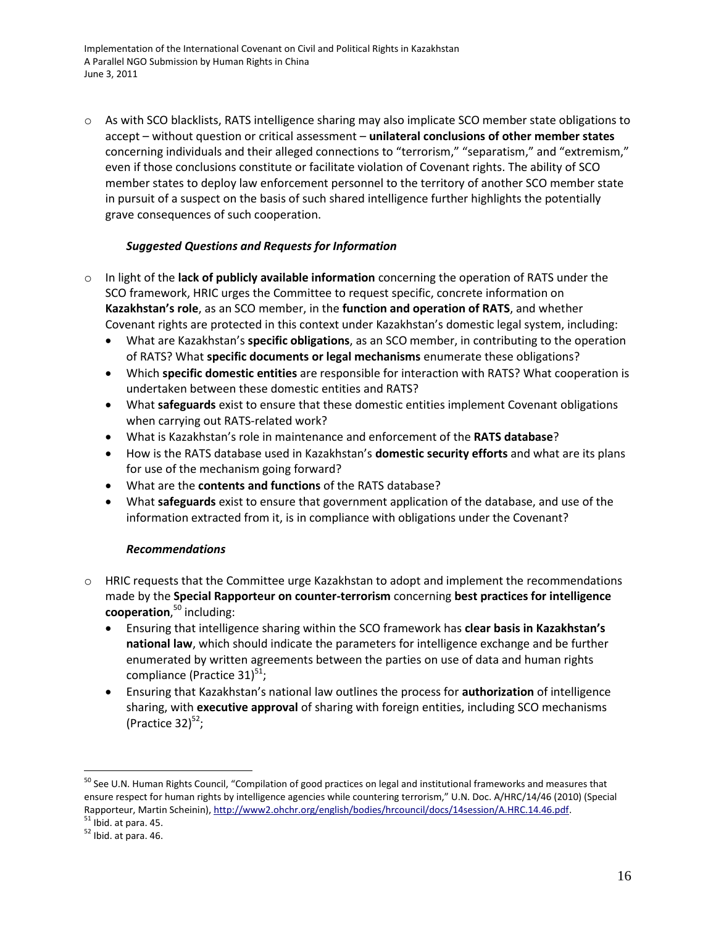o As with SCO blacklists, RATS intelligence sharing may also implicate SCO member state obligations to accept – without question or critical assessment – **unilateral conclusions of other member states**  concerning individuals and their alleged connections to "terrorism," "separatism," and "extremism," even if those conclusions constitute or facilitate violation of Covenant rights. The ability of SCO member states to deploy law enforcement personnel to the territory of another SCO member state in pursuit of a suspect on the basis of such shared intelligence further highlights the potentially grave consequences of such cooperation.

## *Suggested Questions and Requests for Information*

- o In light of the **lack of publicly available information** concerning the operation of RATS under the SCO framework, HRIC urges the Committee to request specific, concrete information on **Kazakhstan's role**, as an SCO member, in the **function and operation of RATS**, and whether Covenant rights are protected in this context under Kazakhstan's domestic legal system, including:
	- What are Kazakhstan's **specific obligations**, as an SCO member, in contributing to the operation of RATS? What **specific documents or legal mechanisms** enumerate these obligations?
	- Which **specific domestic entities** are responsible for interaction with RATS? What cooperation is undertaken between these domestic entities and RATS?
	- What **safeguards** exist to ensure that these domestic entities implement Covenant obligations when carrying out RATS-related work?
	- What is Kazakhstan's role in maintenance and enforcement of the **RATS database**?
	- How is the RATS database used in Kazakhstan's **domestic security efforts** and what are its plans for use of the mechanism going forward?
	- What are the **contents and functions** of the RATS database?
	- What **safeguards** exist to ensure that government application of the database, and use of the information extracted from it, is in compliance with obligations under the Covenant?

## *Recommendations*

- o HRIC requests that the Committee urge Kazakhstan to adopt and implement the recommendations made by the **Special Rapporteur on counter-terrorism** concerning **best practices for intelligence cooperation**, <sup>50</sup> including:
	- Ensuring that intelligence sharing within the SCO framework has **clear basis in Kazakhstan's national law**, which should indicate the parameters for intelligence exchange and be further enumerated by written agreements between the parties on use of data and human rights compliance (Practice 31) $51$ ;
	- Ensuring that Kazakhstan's national law outlines the process for **authorization** of intelligence sharing, with **executive approval** of sharing with foreign entities, including SCO mechanisms (Practice 32) $52$ ;

<sup>&</sup>lt;sup>50</sup> See U.N. Human Rights Council, "Compilation of good practices on legal and institutional frameworks and measures that ensure respect for human rights by intelligence agencies while countering terrorism," U.N. Doc. A/HRC/14/46 (2010) (Special Rapporteur, Martin Scheinin), [http://www2.ohchr.org/english/bodies/hrcouncil/docs/14session/A.HRC.14.46.pdf.](http://www2.ohchr.org/english/bodies/hrcouncil/docs/14session/A.HRC.14.46.pdf)  $<sup>51</sup>$  Ibid. at para. 45.</sup>

<sup>52</sup> Ibid. at para. 46.